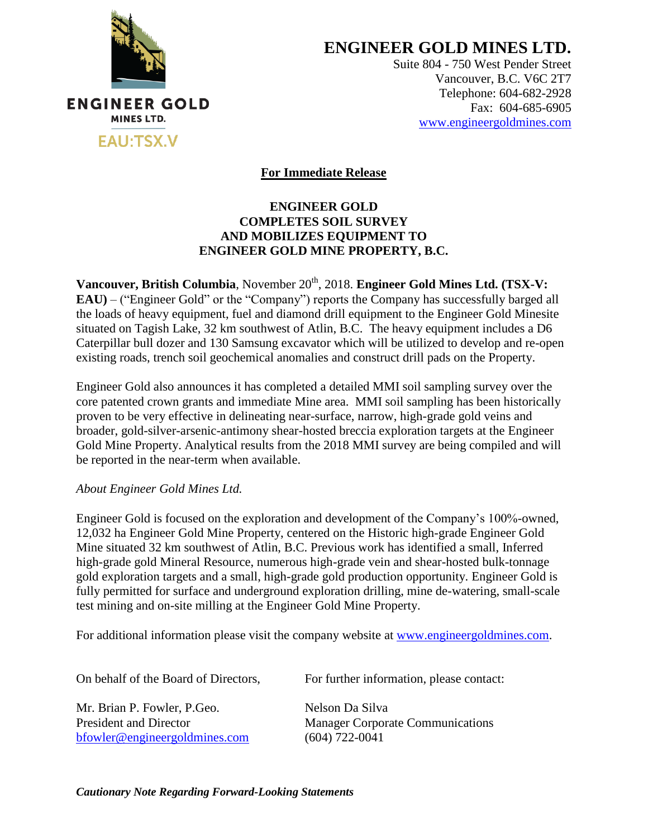

**ENGINEER GOLD MINES LTD.**

Suite 804 - 750 West Pender Street Vancouver, B.C. V6C 2T7 Telephone: 604-682-2928 Fax: 604-685-6905 [www.engineergoldmines.com](../../../AppData/Local/Microsoft/Windows/Temporary%20Internet%20Files/Content.Outlook/RLQM2AKD/www.engineergoldmines.com)

**For Immediate Release**

## **ENGINEER GOLD COMPLETES SOIL SURVEY AND MOBILIZES EQUIPMENT TO ENGINEER GOLD MINE PROPERTY, B.C.**

**Vancouver, British Columbia**, November 20<sup>th</sup>, 2018. **Engineer Gold Mines Ltd. (TSX-V: EAU)** – ("Engineer Gold" or the "Company") reports the Company has successfully barged all the loads of heavy equipment, fuel and diamond drill equipment to the Engineer Gold Minesite situated on Tagish Lake, 32 km southwest of Atlin, B.C. The heavy equipment includes a D6 Caterpillar bull dozer and 130 Samsung excavator which will be utilized to develop and re-open existing roads, trench soil geochemical anomalies and construct drill pads on the Property.

Engineer Gold also announces it has completed a detailed MMI soil sampling survey over the core patented crown grants and immediate Mine area. MMI soil sampling has been historically proven to be very effective in delineating near-surface, narrow, high-grade gold veins and broader, gold-silver-arsenic-antimony shear-hosted breccia exploration targets at the Engineer Gold Mine Property. Analytical results from the 2018 MMI survey are being compiled and will be reported in the near-term when available.

## *About Engineer Gold Mines Ltd.*

Engineer Gold is focused on the exploration and development of the Company's 100%-owned, 12,032 ha Engineer Gold Mine Property, centered on the Historic high-grade Engineer Gold Mine situated 32 km southwest of Atlin, B.C. Previous work has identified a small, Inferred high-grade gold Mineral Resource, numerous high-grade vein and shear-hosted bulk-tonnage gold exploration targets and a small, high-grade gold production opportunity. Engineer Gold is fully permitted for surface and underground exploration drilling, mine de-watering, small-scale test mining and on-site milling at the Engineer Gold Mine Property.

For additional information please visit the company website at [www.engineergoldmines.com.](http://www.blindcreekresources.com/)

Mr. Brian P. Fowler, P. Geo. Nelson Da Silva [bfowler@engineergoldmines.com](../Administrative/bfowler@engineergoldmines.com) (604) 722-0041

On behalf of the Board of Directors, For further information, please contact:

President and Director Manager Corporate Communications